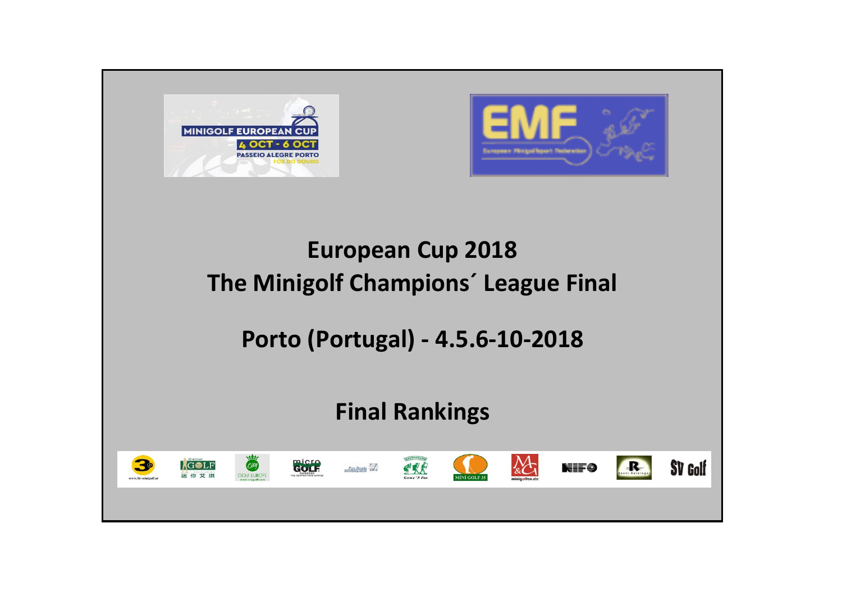



# **European Cup 2018 The Minigolf Champions´ League Final**

## **Porto (Portugal) - 4.5.6-10-2018**

## **Final Rankings**

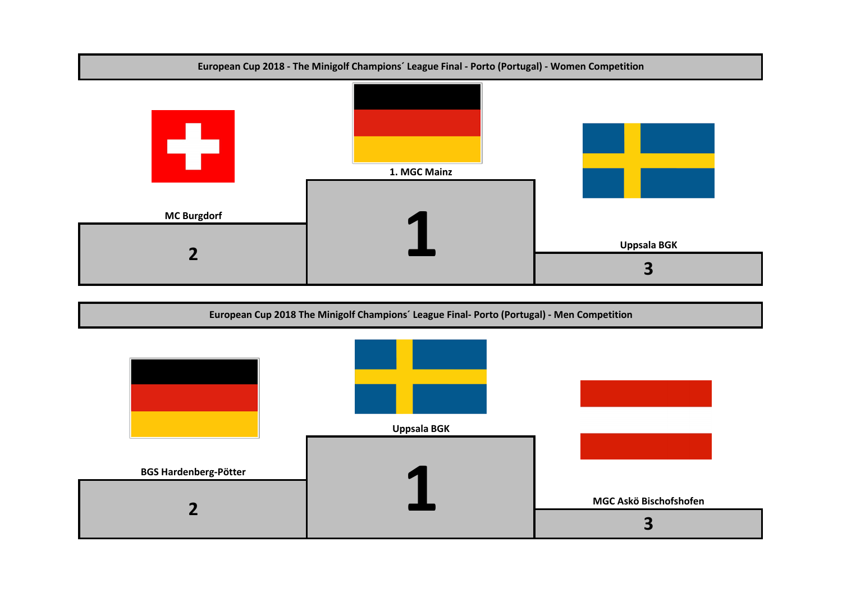

#### **European Cup 2018 The Minigolf Champions´ League Final- Porto (Portugal) - Men Competition**

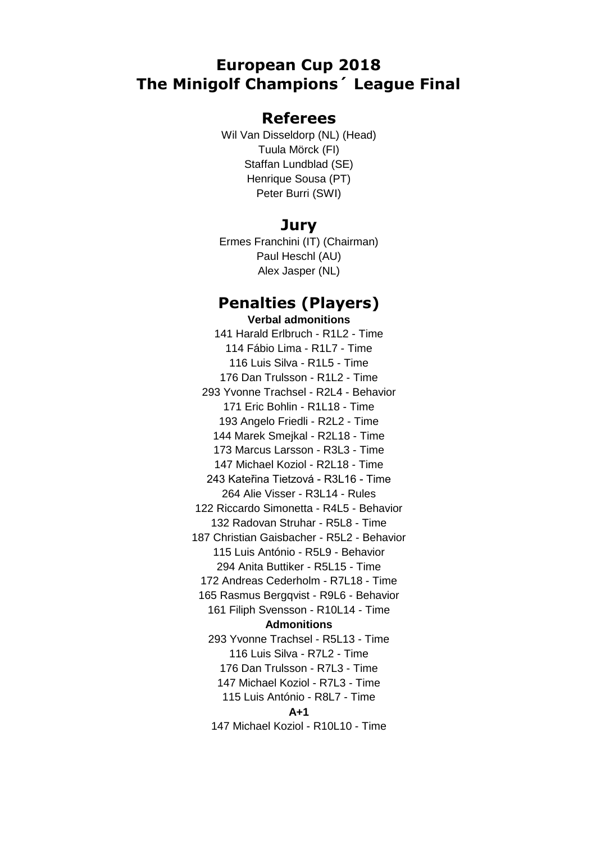## **European Cup 2018 The Minigolf Champions´ League Final**

## **Referees**

Wil Van Disseldorp (NL) (Head) Tuula Mörck (FI) Staffan Lundblad (SE) Henrique Sousa (PT) Peter Burri (SWI)

### **Jury**

Ermes Franchini (IT) (Chairman) Paul Heschl (AU) Alex Jasper (NL)

### **Penalties (Players) Verbal admonitions**

141 Harald Erlbruch - R1L2 - Time 114 Fábio Lima - R1L7 - Time 116 Luis Silva - R1L5 - Time 176 Dan Trulsson - R1L2 - Time 293 Yvonne Trachsel - R2L4 - Behavior 171 Eric Bohlin - R1L18 - Time 193 Angelo Friedli - R2L2 - Time 144 Marek Smejkal - R2L18 - Time 173 Marcus Larsson - R3L3 - Time 147 Michael Koziol - R2L18 - Time 243 Kateřina Tietzová - R3L16 - Time 264 Alie Visser - R3L14 - Rules 122 Riccardo Simonetta - R4L5 - Behavior 132 Radovan Struhar - R5L8 - Time 187 Christian Gaisbacher - R5L2 - Behavior 115 Luis António - R5L9 - Behavior 294 Anita Buttiker - R5L15 - Time 172 Andreas Cederholm - R7L18 - Time 165 Rasmus Bergqvist - R9L6 - Behavior 161 Filiph Svensson - R10L14 - Time **Admonitions** 293 Yvonne Trachsel - R5L13 - Time 116 Luis Silva - R7L2 - Time 176 Dan Trulsson - R7L3 - Time 147 Michael Koziol - R7L3 - Time 115 Luis António - R8L7 - Time **A+1** 147 Michael Koziol - R10L10 - Time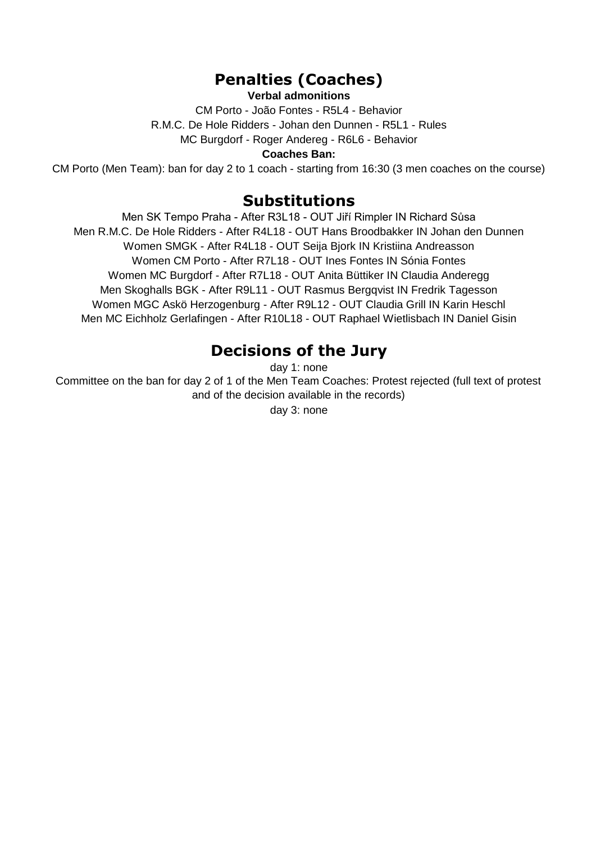## **Penalties (Coaches)**

### **Verbal admonitions**

CM Porto - João Fontes - R5L4 - Behavior R.M.C. De Hole Ridders - Johan den Dunnen - R5L1 - Rules MC Burgdorf - Roger Andereg - R6L6 - Behavior

#### **Coaches Ban:**

CM Porto (Men Team): ban for day 2 to 1 coach - starting from 16:30 (3 men coaches on the course)

## **Substitutions**

Men SK Tempo Praha - After R3L18 - OUT Jiří Rimpler IN Richard Sůsa Men R.M.C. De Hole Ridders - After R4L18 - OUT Hans Broodbakker IN Johan den Dunnen Women SMGK - After R4L18 - OUT Seija Bjork IN Kristiina Andreasson Women CM Porto - After R7L18 - OUT Ines Fontes IN Sónia Fontes Women MC Burgdorf - After R7L18 - OUT Anita Büttiker IN Claudia Anderegg Men Skoghalls BGK - After R9L11 - OUT Rasmus Bergqvist IN Fredrik Tagesson Women MGC Askö Herzogenburg - After R9L12 - OUT Claudia Grill IN Karin Heschl Men MC Eichholz Gerlafingen - After R10L18 - OUT Raphael Wietlisbach IN Daniel Gisin

## **Decisions of the Jury**

day 1: none

Committee on the ban for day 2 of 1 of the Men Team Coaches: Protest rejected (full text of protest and of the decision available in the records)

day 3: none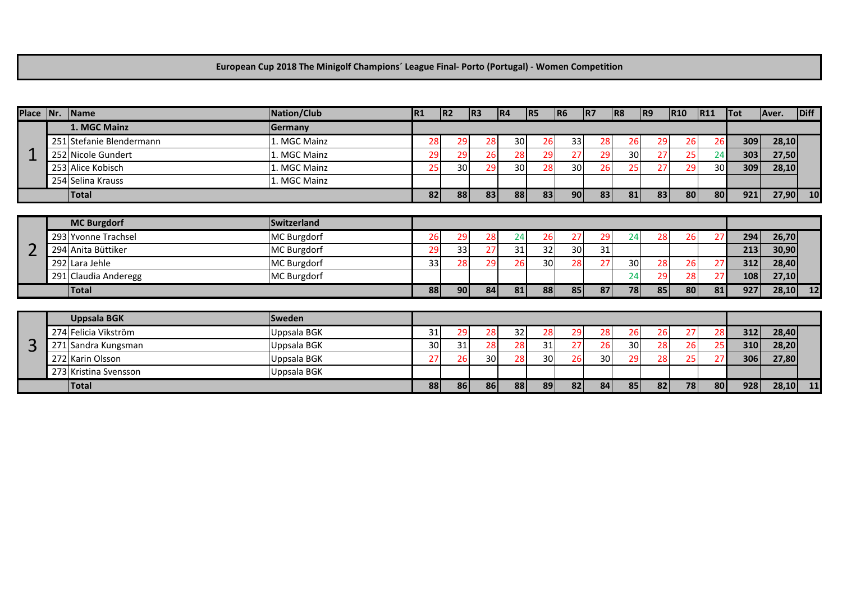#### **European Cup 2018 The Minigolf Champions´ League Final- Porto (Portugal) - Women Competition**

| Place   Nr.   Name |                          | Nation/Club        | R <sub>1</sub> | R2 | R3        | R4 | R5              | R6              | IR <sub>7</sub> | R8 | R9 | R10 | <b>R11</b> | <b>Tot</b> | Aver. | Diff      |
|--------------------|--------------------------|--------------------|----------------|----|-----------|----|-----------------|-----------------|-----------------|----|----|-----|------------|------------|-------|-----------|
|                    | 1. MGC Mainz             | Germany            |                |    |           |    |                 |                 |                 |    |    |     |            |            |       |           |
|                    | 251 Stefanie Blendermann | 1. MGC Mainz       | 28             | 29 | 28        | 30 | <b>26</b>       | 33              | 28              | 26 | 29 | 26  | 26         | 309        | 28,10 |           |
|                    | 252 Nicole Gundert       | 1. MGC Mainz       | 29             | 29 | 26        | 28 | 29              | 27              | 29              | 30 | 27 | 25  | 24         | 303        | 27,50 |           |
|                    | 253 Alice Kobisch        | 1. MGC Mainz       | 25             | 30 | 29        | 30 | 28              | 30              | 26              | 25 | 27 | 29  | 30         | 309        | 28,10 |           |
|                    | 254 Selina Krauss        | 1. MGC Mainz       |                |    |           |    |                 |                 |                 |    |    |     |            |            |       |           |
|                    | <b>Total</b>             |                    | 82             | 88 | 83        | 88 | 83              | 90 <sub>l</sub> | 83              | 81 | 83 | 80  | 80         | 921        | 27,90 | 10        |
|                    |                          |                    |                |    |           |    |                 |                 |                 |    |    |     |            |            |       |           |
|                    | <b>MC Burgdorf</b>       | Switzerland        |                |    |           |    |                 |                 |                 |    |    |     |            |            |       |           |
|                    | 293 Yvonne Trachsel      | MC Burgdorf        | 26             | 29 | <b>28</b> | 24 | <b>26</b>       | 27              | 29              | 24 | 28 | 26  | 27         | 294        | 26,70 |           |
|                    | 294 Anita Büttiker       | <b>MC Burgdorf</b> | 29             | 33 | 27        | 31 | 32              | 30              | 31              |    |    |     |            | 213        | 30,90 |           |
|                    | 292 Lara Jehle           | MC Burgdorf        | 33             | 28 | 29        | 26 | 30 <sup>1</sup> | 28              | 27              | 30 | 28 | 26  | 27         | 312        | 28,40 |           |
|                    | 291 Claudia Anderegg     | MC Burgdorf        |                |    |           |    |                 |                 |                 | 24 | 29 | 28  | 27         | 108        | 27,10 |           |
|                    | Total                    |                    | 88             | 90 | 84        | 81 | 88              | 85              | 87              | 78 | 85 | 80  | 81         | 927        | 28,10 | <b>12</b> |
|                    |                          |                    |                |    |           |    |                 |                 |                 |    |    |     |            |            |       |           |
|                    | <b>Uppsala BGK</b>       | Sweden             |                |    |           |    |                 |                 |                 |    |    |     |            |            |       |           |
|                    | 274 Felicia Vikström     | <b>Uppsala BGK</b> | 31             | 29 | 28        | 32 | 28              | 29              | 28              | 26 | 26 | 27  | 28         | 312        | 28,40 |           |
| 3                  | 271 Sandra Kungsman      | Uppsala BGK        | 30             | 31 | 28        | 28 | 31              | 27              | 26              | 30 | 28 | 26  |            | 310        | 28,20 |           |
|                    | 272 Karin Olsson         | Uppsala BGK        | 27             | 26 | 30        | 28 | 30              | 26              | 30              | 29 | 28 | 25  | 27         | 306        | 27,80 |           |
|                    | 273 Kristina Svensson    | <b>Uppsala BGK</b> |                |    |           |    |                 |                 |                 |    |    |     |            |            |       |           |
|                    | Total                    |                    | 88             | 86 | 86        | 88 | 89              | 82              | 84              | 85 | 82 | 78  | 80         | 928        | 28,10 | 11        |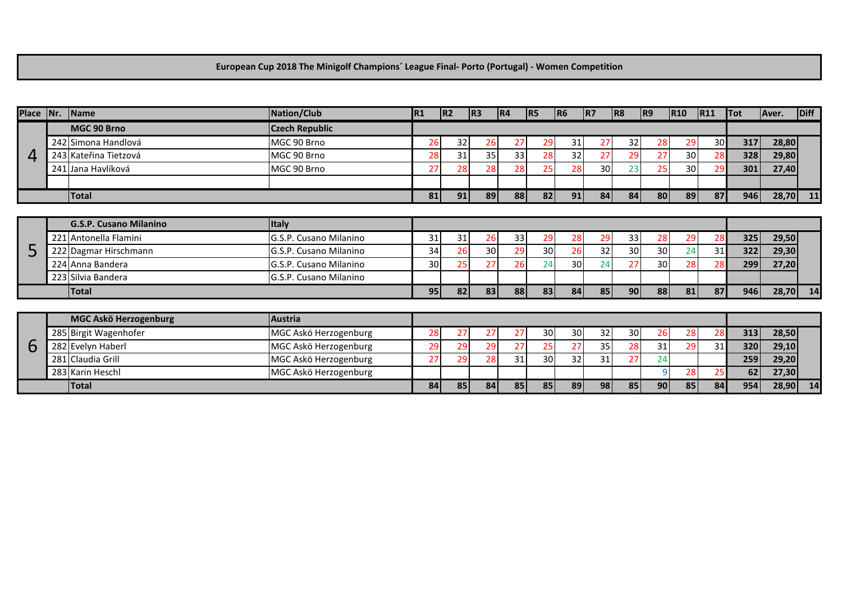**European Cup 2018 The Minigolf Champions´ League Final- Porto (Portugal) - Women Competition**

| Place  Nr. | <b>Name</b>                   | Nation/Club            | R1 | IR <sub>2</sub> | R3 | R4 | R <sub>5</sub> | R <sub>6</sub>  | R7 | R8        | R9 | R10 | R11             | Tot | Aver. | Diff |
|------------|-------------------------------|------------------------|----|-----------------|----|----|----------------|-----------------|----|-----------|----|-----|-----------------|-----|-------|------|
|            | MGC 90 Brno                   | <b>Czech Republic</b>  |    |                 |    |    |                |                 |    |           |    |     |                 |     |       |      |
|            | 242 Simona Handlová           | MGC 90 Brno            | 26 | 32              | 26 | 27 | 29             | 31              | 27 | 32        | 28 | 29  | 30 <sup>l</sup> | 317 | 28,80 |      |
|            | 243 Kateřina Tietzová         | MGC 90 Brno            | 28 | 31              | 35 | 33 | 28             | 32              | 27 | 29        | 27 | 30  | 28              | 328 | 29,80 |      |
|            | 241 Jana Havlíková            | MGC 90 Brno            | 27 | 28              | 28 | 28 | 25             | 28              | 30 | 23        | 25 | 30  | 29              | 301 | 27,40 |      |
|            |                               |                        |    |                 |    |    |                |                 |    |           |    |     |                 |     |       |      |
|            | <b>Total</b>                  |                        | 81 | 91              | 89 | 88 | 82             | 91              | 84 | 84        | 80 | 89  | 87              | 946 | 28,70 | 11   |
|            |                               |                        |    |                 |    |    |                |                 |    |           |    |     |                 |     |       |      |
|            | <b>G.S.P. Cusano Milanino</b> | <b>Italy</b>           |    |                 |    |    |                |                 |    |           |    |     |                 |     |       |      |
|            | 221 Antonella Flamini         | G.S.P. Cusano Milanino | 31 | 31              | 26 | 33 | 29             | 28              | 29 | 33        | 28 | 29  | 28              | 325 | 29,50 |      |
| 5          | 222 Dagmar Hirschmann         | G.S.P. Cusano Milanino | 34 | 26              | 30 | 29 | 30             | 26              | 32 | 30        | 30 | 24  | 31              | 322 | 29,30 |      |
|            | 224 Anna Bandera              | G.S.P. Cusano Milanino | 30 | 25              | 27 | 26 | 24             | 30              | 24 | 27        | 30 | 28  | 28              | 299 | 27,20 |      |
|            | 223 Silvia Bandera            | G.S.P. Cusano Milanino |    |                 |    |    |                |                 |    |           |    |     |                 |     |       |      |
|            | <b>Total</b>                  |                        | 95 | 82              | 83 | 88 | 83             | 84 <sup>1</sup> | 85 | <b>90</b> | 88 | 81  | 87              | 946 | 28,70 | 14   |
|            |                               |                        |    |                 |    |    |                |                 |    |           |    |     |                 |     |       |      |
|            | MGC Askö Herzogenburg         | <b>Austria</b>         |    |                 |    |    |                |                 |    |           |    |     |                 |     |       |      |
|            | 285 Birgit Wagenhofer         | MGC Askö Herzogenburg  | 28 | 27              | 27 | 27 | 30             | 30              | 32 | 30        | 26 | 28  | 28              | 313 | 28,50 |      |
| b          | 282 Evelyn Haberl             | MGC Askö Herzogenburg  | 29 | 29              | 29 | 27 | 25             | 27              | 35 | 28        | 31 | 29  | 31              | 320 | 29,10 |      |
|            | 281 Claudia Grill             | MGC Askö Herzogenburg  | 27 | 29              | 28 | 31 | 30             | 32              | 31 | 27        | 24 |     |                 | 259 | 29,20 |      |
|            | 283 Karin Heschl              | MGC Askö Herzogenburg  |    |                 |    |    |                |                 |    |           |    | 28  | 25              | 62  | 27,30 |      |
|            | <b>Total</b>                  |                        | 84 | 85              | 84 | 85 | 85             | 89              | 98 | 85        | 90 | 85  | 84              | 954 | 28,90 | 14   |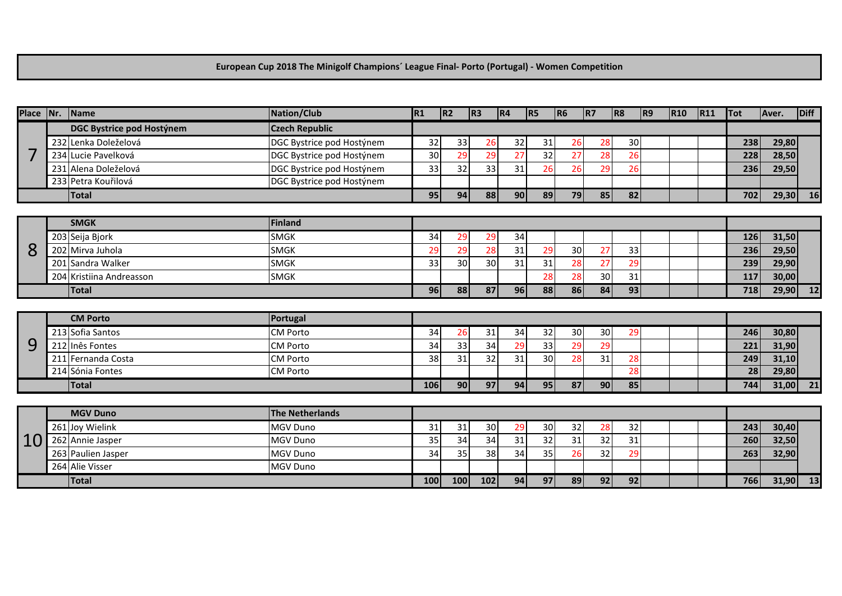#### **European Cup 2018 The Minigolf Champions´ League Final- Porto (Portugal) - Women Competition**

| Place Nr. | Name                      | Nation/Club               | R <sub>1</sub> | R <sub>2</sub>  | R3  | R4 | R5 | R6     | R7 | R8 | R9 | R10 | R11 | <b>Tot</b> | Aver.      | Diff                       |
|-----------|---------------------------|---------------------------|----------------|-----------------|-----|----|----|--------|----|----|----|-----|-----|------------|------------|----------------------------|
|           | DGC Bystrice pod Hostýnem | <b>Czech Republic</b>     |                |                 |     |    |    |        |    |    |    |     |     |            |            |                            |
|           | 232 Lenka Doleželová      | DGC Bystrice pod Hostýnem | 32             | 33              | 26  | 32 | 31 | 26     | 28 | 30 |    |     |     | 238        | 29,80      |                            |
| 7         | 234 Lucie Pavelková       | DGC Bystrice pod Hostýnem | 30             | 29              | 29  | 27 | 32 | 27     | 28 | 26 |    |     |     | 228        | 28,50      |                            |
|           | 231 Alena Doleželová      | DGC Bystrice pod Hostýnem | 33             | 32              | 33  | 31 | 26 | 26     | 29 | 26 |    |     |     | 236        | 29,50      |                            |
|           | 233 Petra Kouřilová       | DGC Bystrice pod Hostýnem |                |                 |     |    |    |        |    |    |    |     |     |            |            |                            |
|           | <b>Total</b>              |                           | 95             | 94              | 88  | 90 | 89 | 79     | 85 | 82 |    |     |     | 702        | 29,30      | <b>16</b>                  |
|           |                           |                           |                |                 |     |    |    |        |    |    |    |     |     |            |            |                            |
|           | <b>SMGK</b>               | Finland                   |                |                 |     |    |    |        |    |    |    |     |     |            |            |                            |
|           | 203 Seija Bjork           | <b>SMGK</b>               | 34             | 29              | 29  | 34 |    |        |    |    |    |     |     | 126        | 31,50      |                            |
| 8         | 202 Mirva Juhola          | <b>SMGK</b>               | 29             | 29              | 28  | 31 | 29 | 30     | 27 | 33 |    |     |     | 236        | 29,50      |                            |
|           | 201 Sandra Walker         | <b>SMGK</b>               | 33             | 30              | 30  | 31 | 31 | 28     | 27 | 29 |    |     |     | 239        | 29,90      |                            |
|           | 204 Kristiina Andreasson  | <b>SMGK</b>               |                |                 |     |    | 28 | 28     | 30 | 31 |    |     |     | 117        | 30,00      |                            |
|           | <b>Total</b>              |                           | 96             | 88              | 87  | 96 | 88 | 86     | 84 | 93 |    |     |     | 718        | 29,90      | $\overline{\phantom{0}12}$ |
|           |                           |                           |                |                 |     |    |    |        |    |    |    |     |     |            |            |                            |
|           | <b>CM Porto</b>           | Portugal                  |                |                 |     |    |    |        |    |    |    |     |     |            |            |                            |
|           | 213 Sofia Santos          | <b>CM Porto</b>           | 34             | 26              | 31  | 34 | 32 | $30\,$ | 30 | 29 |    |     |     | 246        | 30,80      |                            |
| 9         | 212 Inês Fontes           | <b>CM Porto</b>           | 34             | 33              | 34  | 29 | 33 | 29     | 29 |    |    |     |     | 221        | 31,90      |                            |
|           | 211 Fernanda Costa        | <b>CM Porto</b>           | 38             | 31              | 32  | 31 | 30 | 28     | 31 | 28 |    |     |     | 249        | 31,10      |                            |
|           | 214 Sónia Fontes          | <b>CM Porto</b>           |                |                 |     |    |    |        |    | 28 |    |     |     | 28         | 29,80      |                            |
|           | <b>Total</b>              |                           | 106            | 90 <sup>1</sup> | 97  | 94 | 95 | 87     | 90 | 85 |    |     |     | 744        | $31,00$ 21 |                            |
|           |                           |                           |                |                 |     |    |    |        |    |    |    |     |     |            |            |                            |
|           | <b>MGV Duno</b>           | <b>The Netherlands</b>    |                |                 |     |    |    |        |    |    |    |     |     |            |            |                            |
|           | 261 Joy Wielink           | MGV Duno                  | 31             | 31              | 30  | 29 | 30 | 32     | 28 | 32 |    |     |     | 243        | 30,40      |                            |
| 10        | 262 Annie Jasper          | <b>MGV Duno</b>           | 35             | 34              | 34  | 31 | 32 | 31     | 32 | 31 |    |     |     | 260        | 32,50      |                            |
|           | 263 Paulien Jasper        | <b>MGV Duno</b>           | 34             | 35              | 38  | 34 | 35 | 26     | 32 | 29 |    |     |     | 263        | 32,90      |                            |
|           | 264 Alie Visser           | MGV Duno                  |                |                 |     |    |    |        |    |    |    |     |     |            |            |                            |
|           | <b>Total</b>              |                           | 100            | 100             | 102 | 94 | 97 | 89     | 92 | 92 |    |     |     | 766        | 31,90      | 13                         |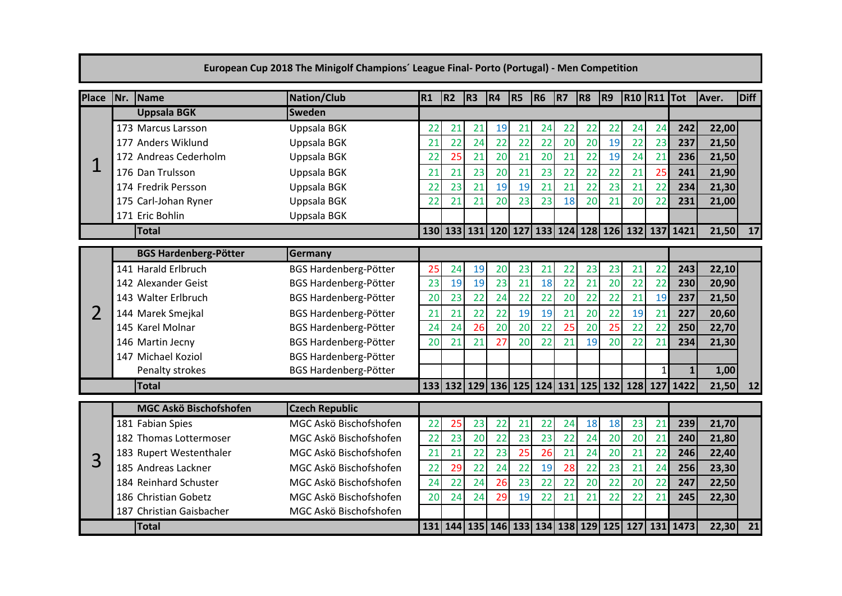|                |     |                              | European Cup 2018 The Minigolf Champions' League Final-Porto (Portugal) - Men Competition |    |    |                |    |                |                |    |    |                                         |                    |    |                                                                        |       |      |
|----------------|-----|------------------------------|-------------------------------------------------------------------------------------------|----|----|----------------|----|----------------|----------------|----|----|-----------------------------------------|--------------------|----|------------------------------------------------------------------------|-------|------|
| <b>Place</b>   | Nr. | Name                         | <b>Nation/Club</b>                                                                        | R1 | R2 | R <sub>3</sub> | R4 | R <sub>5</sub> | R <sub>6</sub> | R7 | R8 | R9                                      | <b>R10 R11 Tot</b> |    |                                                                        | Aver. | Diff |
|                |     | <b>Uppsala BGK</b>           | <b>Sweden</b>                                                                             |    |    |                |    |                |                |    |    |                                         |                    |    |                                                                        |       |      |
|                |     | 173 Marcus Larsson           | Uppsala BGK                                                                               | 22 | 21 | 21             | 19 | 21             | 24             | 22 | 22 | 22                                      | 24                 | 24 | 242                                                                    | 22,00 |      |
|                |     | 177 Anders Wiklund           | Uppsala BGK                                                                               | 21 | 22 | 24             | 22 | 22             | 22             | 20 | 20 | 19                                      | 22                 | 23 | 237                                                                    | 21,50 |      |
|                |     | 172 Andreas Cederholm        | Uppsala BGK                                                                               | 22 | 25 | 21             | 20 | 21             | 20             | 21 | 22 | 19                                      | 24                 | 21 | 236                                                                    | 21,50 |      |
|                |     | 176 Dan Trulsson             | Uppsala BGK                                                                               | 21 | 21 | 23             | 20 | 21             | 23             | 22 | 22 | 22                                      | 21                 | 25 | 241                                                                    | 21,90 |      |
|                |     | 174 Fredrik Persson          | Uppsala BGK                                                                               | 22 | 23 | 21             | 19 | 19             | 21             | 21 | 22 | 23                                      | 21                 | 22 | 234                                                                    | 21,30 |      |
|                |     | 175 Carl-Johan Ryner         | Uppsala BGK                                                                               | 22 | 21 | 21             | 20 | 23             | 23             | 18 | 20 | 21                                      | 20                 | 22 | 231                                                                    | 21,00 |      |
|                |     | 171 Eric Bohlin              | Uppsala BGK                                                                               |    |    |                |    |                |                |    |    |                                         |                    |    |                                                                        |       |      |
|                |     | <b>Total</b>                 |                                                                                           |    |    |                |    |                |                |    |    | 130 133 131 120 127 133 124 128 126 132 |                    |    | 137 1421                                                               | 21,50 | 17   |
|                |     | <b>BGS Hardenberg-Pötter</b> | Germany                                                                                   |    |    |                |    |                |                |    |    |                                         |                    |    |                                                                        |       |      |
|                |     | 141 Harald Erlbruch          | <b>BGS Hardenberg-Pötter</b>                                                              | 25 | 24 | 19             | 20 | 23             | 21             | 22 | 23 | 23                                      | 21                 | 22 | 243                                                                    | 22,10 |      |
|                |     | 142 Alexander Geist          | BGS Hardenberg-Pötter                                                                     | 23 | 19 | 19             | 23 | 21             | 18             | 22 | 21 | 20                                      | 22                 | 22 | 230                                                                    | 20,90 |      |
|                |     | 143 Walter Erlbruch          | BGS Hardenberg-Pötter                                                                     | 20 | 23 | 22             | 24 | 22             | 22             | 20 | 22 | 22                                      | 21                 | 19 | 237                                                                    | 21,50 |      |
| $\overline{2}$ |     | 144 Marek Smejkal            | BGS Hardenberg-Pötter                                                                     | 21 | 21 | 22             | 22 | 19             | 19             | 21 | 20 | 22                                      | 19                 | 21 | 227                                                                    | 20,60 |      |
|                |     | 145 Karel Molnar             | BGS Hardenberg-Pötter                                                                     | 24 | 24 | 26             | 20 | 20             | 22             | 25 | 20 | 25                                      | 22                 | 22 | 250                                                                    | 22,70 |      |
|                |     | 146 Martin Jecny             | BGS Hardenberg-Pötter                                                                     | 20 | 21 | 21             | 27 | 20             | 22             | 21 | 19 | 20                                      | 22                 | 21 | 234                                                                    | 21,30 |      |
|                |     | 147 Michael Koziol           | BGS Hardenberg-Pötter                                                                     |    |    |                |    |                |                |    |    |                                         |                    |    |                                                                        |       |      |
|                |     | Penalty strokes              | BGS Hardenberg-Pötter                                                                     |    |    |                |    |                |                |    |    |                                         |                    |    | 1                                                                      | 1,00  |      |
|                |     | <b>Total</b>                 |                                                                                           |    |    |                |    |                |                |    |    |                                         |                    |    | 133 132 129 136 125 124 131 125 132 128 127 1422                       | 21,50 | 12   |
|                |     | MGC Askö Bischofshofen       | <b>Czech Republic</b>                                                                     |    |    |                |    |                |                |    |    |                                         |                    |    |                                                                        |       |      |
|                |     | 181 Fabian Spies             | MGC Askö Bischofshofen                                                                    | 22 | 25 | 23             | 22 | 21             | 22             | 24 | 18 | 18                                      | 23                 | 21 | 239                                                                    | 21,70 |      |
|                |     | 182 Thomas Lottermoser       | MGC Askö Bischofshofen                                                                    | 22 | 23 | 20             | 22 | 23             | 23             | 22 | 24 | 20                                      | 20                 | 21 | 240                                                                    | 21,80 |      |
|                |     | 183 Rupert Westenthaler      | MGC Askö Bischofshofen                                                                    | 21 | 21 | 22             | 23 | 25             | 26             | 21 | 24 | 20                                      | 21                 | 22 | 246                                                                    | 22,40 |      |
| 3              |     | 185 Andreas Lackner          | MGC Askö Bischofshofen                                                                    | 22 | 29 | 22             | 24 | 22             | 19             | 28 | 22 | 23                                      | 21                 | 24 | 256                                                                    | 23,30 |      |
|                |     | 184 Reinhard Schuster        | MGC Askö Bischofshofen                                                                    | 24 | 22 | 24             | 26 | 23             | 22             | 22 | 20 | 22                                      | 20                 | 22 | 247                                                                    | 22,50 |      |
|                |     | 186 Christian Gobetz         | MGC Askö Bischofshofen                                                                    | 20 | 24 | 24             | 29 | 19             | 22             | 21 | 21 | 22                                      | 22                 | 21 | 245                                                                    | 22,30 |      |
|                |     | 187 Christian Gaisbacher     | MGC Askö Bischofshofen                                                                    |    |    |                |    |                |                |    |    |                                         |                    |    |                                                                        |       |      |
|                |     | Total                        |                                                                                           |    |    |                |    |                |                |    |    |                                         |                    |    | 131   144   135   146   133   134   138   129   125   127   131   1473 | 22,30 | 21   |

## and the control of the control of the control of the control of the control of the control of the control of the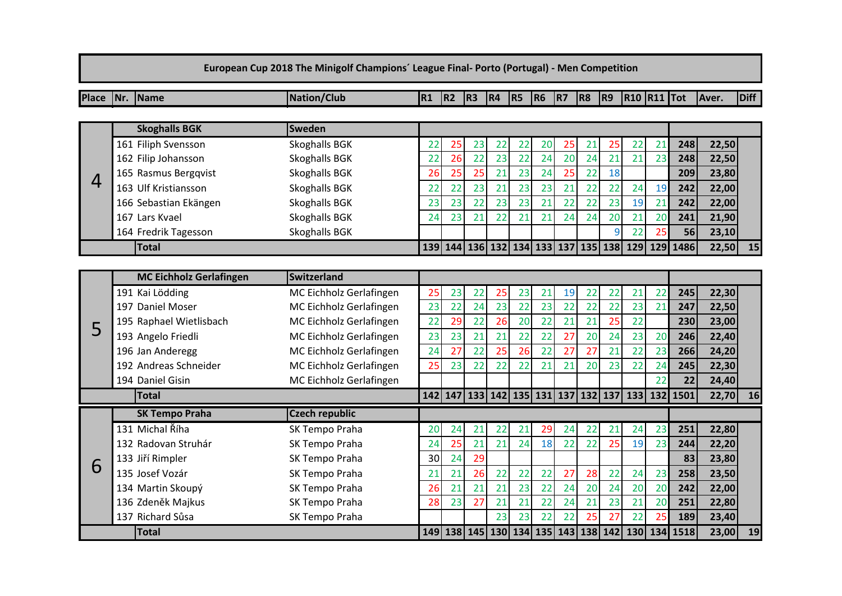| European Cup 2018 The Minigolf Champions' League Final- Porto (Portugal) - Men Competition |              |                                |                         |    |                |                |                                 |    |                |    |           |                                         |                    |     |      |       |             |
|--------------------------------------------------------------------------------------------|--------------|--------------------------------|-------------------------|----|----------------|----------------|---------------------------------|----|----------------|----|-----------|-----------------------------------------|--------------------|-----|------|-------|-------------|
| <b>Place</b>                                                                               |              | Nr. Name                       | <b>Nation/Club</b>      | R1 | R <sub>2</sub> | R <sub>3</sub> | R4                              | R5 | R <sub>6</sub> | R7 | <b>R8</b> | R9                                      | <b>R10 R11 Tot</b> |     |      | Aver. | <b>Diff</b> |
|                                                                                            |              |                                |                         |    |                |                |                                 |    |                |    |           |                                         |                    |     |      |       |             |
|                                                                                            |              | <b>Skoghalls BGK</b>           | <b>Sweden</b>           |    |                |                |                                 |    |                |    |           |                                         |                    |     |      |       |             |
|                                                                                            |              | 161 Filiph Svensson            | <b>Skoghalls BGK</b>    | 22 | 25             | 23             | 22                              | 22 | 20             | 25 | 21        | 25                                      | 22                 | 21  | 248  | 22,50 |             |
|                                                                                            |              | 162 Filip Johansson            | Skoghalls BGK           | 22 | 26             | 22             | 23                              | 22 | 24             | 20 | 24        | 21                                      | 21                 | 23  | 248  | 22,50 |             |
| 4                                                                                          |              | 165 Rasmus Bergqvist           | <b>Skoghalls BGK</b>    | 26 | 25             | 25             | 21                              | 23 | 24             | 25 | 22        | 18                                      |                    |     | 209  | 23,80 |             |
|                                                                                            |              | 163 Ulf Kristiansson           | Skoghalls BGK           | 22 | 22             | 23             | 21                              | 23 | 23             | 21 | 22        | 22                                      | 24                 | 19  | 242  | 22,00 |             |
|                                                                                            |              | 166 Sebastian Ekängen          | <b>Skoghalls BGK</b>    | 23 | 23             | 22             | 23                              | 23 | 21             | 22 | 22        | 23                                      | 19                 | 21  | 242  | 22,00 |             |
|                                                                                            |              | 167 Lars Kvael                 | <b>Skoghalls BGK</b>    | 24 | 23             | 21             | 22                              | 21 | 21             | 24 | 24        | 20                                      | 21                 | 20  | 241  | 21,90 |             |
|                                                                                            |              | 164 Fredrik Tagesson           | <b>Skoghalls BGK</b>    |    |                |                |                                 |    |                |    |           | q                                       | 22                 | 25  | 56   | 23,10 |             |
|                                                                                            |              | Total                          |                         |    |                |                |                                 |    |                |    |           | 139 144 136 132 134 133 137 135 138 129 |                    | 129 | 1486 | 22,50 | 15          |
|                                                                                            |              |                                |                         |    |                |                |                                 |    |                |    |           |                                         |                    |     |      |       |             |
|                                                                                            |              | <b>MC Eichholz Gerlafingen</b> | <b>Switzerland</b>      |    |                |                |                                 |    |                |    |           |                                         |                    |     |      |       |             |
|                                                                                            |              | 191 Kai Lödding                | MC Eichholz Gerlafingen | 25 | 23             | 22             | 25                              | 23 | 21             | 19 | 22        | 22                                      | 21                 | 22  | 245  | 22,30 |             |
|                                                                                            |              | 197 Daniel Moser               | MC Eichholz Gerlafingen | 23 | 22             | 24             | 23                              | 22 | 23             | 22 | 22        | 22                                      | 23                 | 21  | 247  | 22,50 |             |
| 5                                                                                          |              | 195 Raphael Wietlisbach        | MC Eichholz Gerlafingen | 22 | 29             | 22             | 26                              | 20 | 22             | 21 | 21        | 25                                      | 22                 |     | 230  | 23,00 |             |
|                                                                                            |              | 193 Angelo Friedli             | MC Eichholz Gerlafingen | 23 | 23             | 21             | 21                              | 22 | 22             | 27 | 20        | 24                                      | 23                 | 20  | 246  | 22,40 |             |
|                                                                                            |              | 196 Jan Anderegg               | MC Eichholz Gerlafingen | 24 | 27             | 22             | 25                              | 26 | 22             | 27 | 27        | 21                                      | 22                 | 23  | 266  | 24,20 |             |
|                                                                                            |              | 192 Andreas Schneider          | MC Eichholz Gerlafingen | 25 | 23             | 22             | 22                              | 22 | 21             | 21 | 20        | 23                                      | 22                 | 24  | 245  | 22,30 |             |
|                                                                                            |              | 194 Daniel Gisin               | MC Eichholz Gerlafingen |    |                |                |                                 |    |                |    |           |                                         |                    | 22  | 22   | 24,40 |             |
|                                                                                            |              | <b>Total</b>                   |                         |    |                |                |                                 |    |                |    |           | 142 147 133 142 135 131 137 132 137 133 |                    | 132 | 1501 | 22,70 | 16          |
|                                                                                            |              | <b>SK Tempo Praha</b>          | <b>Czech republic</b>   |    |                |                |                                 |    |                |    |           |                                         |                    |     |      |       |             |
|                                                                                            |              | 131 Michal Říha                | SK Tempo Praha          | 20 | 24             | 21             | 22                              | 21 | 29             | 24 | 22        | 21                                      | 24                 | 23  | 251  | 22,80 |             |
|                                                                                            |              | 132 Radovan Struhár            | SK Tempo Praha          | 24 | 25             | 21             | 21                              | 24 | 18             | 22 | 22        | 25                                      | 19                 | 23  | 244  | 22,20 |             |
| 6                                                                                          |              | 133 Jiří Rimpler               | SK Tempo Praha          | 30 | 24             | 29             |                                 |    |                |    |           |                                         |                    |     | 83   | 23,80 |             |
|                                                                                            |              | 135 Josef Vozár                | SK Tempo Praha          | 21 | 21             | 26             | 22                              | 22 | 22             | 27 | 28        | 22                                      | 24                 | 23  | 258  | 23,50 |             |
|                                                                                            |              | 134 Martin Skoupý              | SK Tempo Praha          | 26 | 21             | 21             | 21                              | 23 | 22             | 24 | 20        | 24                                      | 20                 | 20  | 242  | 22,00 |             |
|                                                                                            |              | 136 Zdeněk Majkus              | SK Tempo Praha          | 28 | 23             | 27             | 21                              | 21 | 22             | 24 | 21        | 23                                      | 21                 | 20  | 251  | 22,80 |             |
|                                                                                            |              | 137 Richard Sůsa               | SK Tempo Praha          |    |                |                | 23                              | 23 | 22             | 22 | 25        | 27                                      | 22                 | 25  | 189  | 23,40 |             |
|                                                                                            | <b>Total</b> |                                |                         |    |                |                | 149 138 145 130 134 135 143 138 |    |                |    |           | 142                                     | 130                | 134 | 1518 | 23,00 | 19          |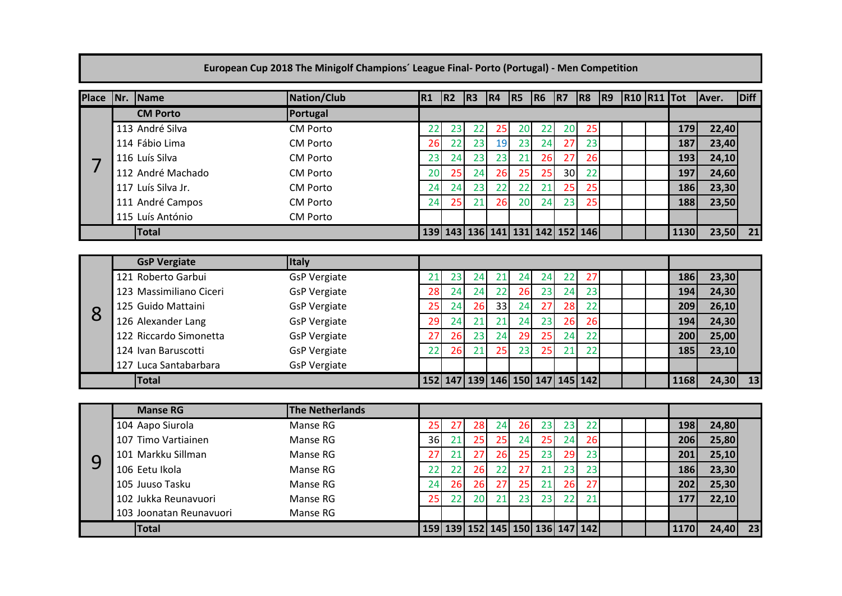|                 |                         | European Cup 2018 The Minigolf Champions' League Final- Porto (Portugal) - Men Competition |    |    |    |                                 |           |    |                 |    |    |                    |      |       |             |
|-----------------|-------------------------|--------------------------------------------------------------------------------------------|----|----|----|---------------------------------|-----------|----|-----------------|----|----|--------------------|------|-------|-------------|
| Place  Nr. Name |                         | <b>Nation/Club</b>                                                                         | R1 | R2 | R3 | R4                              | $ RS $ R6 |    | R7 R8           |    | R9 | <b>R10 R11 Tot</b> |      | Aver. | <b>Diff</b> |
|                 | <b>CM Porto</b>         | Portugal                                                                                   |    |    |    |                                 |           |    |                 |    |    |                    |      |       |             |
|                 | 113 André Silva         | <b>CM Porto</b>                                                                            | 22 | 23 | 22 | 25                              | 20        | 22 | 20              | 25 |    |                    | 179  | 22,40 |             |
|                 | 114 Fábio Lima          | <b>CM Porto</b>                                                                            | 26 | 22 | 23 | 19                              | 23        | 24 | 27              | 23 |    |                    | 187  | 23,40 |             |
| 7               | 116 Luís Silva          | <b>CM Porto</b>                                                                            | 23 | 24 | 23 | 23                              | 21        | 26 | 27              | 26 |    |                    | 193  | 24,10 |             |
|                 | 112 André Machado       | <b>CM Porto</b>                                                                            | 20 | 25 | 24 | 26                              | 25        | 25 | 30 <sup>°</sup> | 22 |    |                    | 197  | 24,60 |             |
|                 | 117 Luís Silva Jr.      | <b>CM Porto</b>                                                                            | 24 | 24 | 23 | 22                              | 22        | 21 | 25              | 25 |    |                    | 186  | 23,30 |             |
|                 | 111 André Campos        | <b>CM Porto</b>                                                                            | 24 | 25 | 21 | 26                              | 20        | 24 | 23              | 25 |    |                    | 188  | 23,50 |             |
|                 | 115 Luís António        | <b>CM Porto</b>                                                                            |    |    |    |                                 |           |    |                 |    |    |                    |      |       |             |
|                 | Total                   |                                                                                            |    |    |    | 139 143 136 141 131 142 152 146 |           |    |                 |    |    |                    | 1130 | 23,50 | 21          |
|                 |                         |                                                                                            |    |    |    |                                 |           |    |                 |    |    |                    |      |       |             |
|                 | <b>GsP Vergiate</b>     | <b>Italy</b>                                                                               |    |    |    |                                 |           |    |                 |    |    |                    |      |       |             |
|                 | 121 Roberto Garbui      | <b>GsP Vergiate</b>                                                                        | 21 | 23 | 24 | 21                              | 24        | 24 | 22              | 27 |    |                    | 186  | 23,30 |             |
|                 | 123 Massimiliano Ciceri | <b>GsP Vergiate</b>                                                                        | 28 | 24 | 24 | 22                              | 26        | 23 | 24              | 23 |    |                    | 194  | 24,30 |             |
| 8               | 125 Guido Mattaini      | <b>GsP Vergiate</b>                                                                        | 25 | 24 | 26 | 33                              | 24        | 27 | 28              | 22 |    |                    | 209  | 26,10 |             |
|                 | 126 Alexander Lang      | <b>GsP Vergiate</b>                                                                        | 29 | 24 | 21 | 21                              | 24        | 23 | 26              | 26 |    |                    | 194  | 24,30 |             |
|                 | 122 Riccardo Simonetta  | <b>GsP Vergiate</b>                                                                        | 27 | 26 | 23 | 24                              | 29        | 25 | 24              | 22 |    |                    | 200  | 25,00 |             |
|                 | 124 Ivan Baruscotti     | <b>GsP Vergiate</b>                                                                        | 22 | 26 | 21 | 25                              | 23        | 25 | 21              | 22 |    |                    | 185  | 23,10 |             |
|                 | 127 Luca Santabarbara   | <b>GsP Vergiate</b>                                                                        |    |    |    |                                 |           |    |                 |    |    |                    |      |       |             |
|                 | <b>Total</b>            |                                                                                            |    |    |    | 152 147 139 146 150 147 145 142 |           |    |                 |    |    |                    | 1168 | 24,30 | 13          |
|                 |                         |                                                                                            |    |    |    |                                 |           |    |                 |    |    |                    |      |       |             |
|                 | <b>Manse RG</b>         | <b>The Netherlands</b>                                                                     |    |    |    |                                 |           |    |                 |    |    |                    |      |       |             |
|                 | 104 Aapo Siurola        | Manse RG                                                                                   | 25 | 27 | 28 | 24                              | 26        | 23 | 23              | 22 |    |                    | 198  | 24,80 |             |
|                 | 107 Timo Vartiainen     | Manse RG                                                                                   | 36 | 21 | 25 | 25                              | 24        | 25 | 24              | 26 |    |                    | 206  | 25,80 |             |
| 9               | 101 Markku Sillman      | Manse RG                                                                                   | 27 | 21 | 27 | 26                              | 25        | 23 | 29              | 23 |    |                    | 201  | 25,10 |             |
|                 | 106 Eetu Ikola          | Manse RG                                                                                   | 22 | 22 | 26 | 22                              | 27        | 21 | 23              | 23 |    |                    | 186  | 23,30 |             |
|                 | 105 Juuso Tasku         | Manse RG                                                                                   | 24 | 26 | 26 | 27                              | 25        | 21 | 26              | 27 |    |                    | 202  | 25,30 |             |

Jukka Reunavuori Manse RG 25 22 20 21 23 23 22 21 **177 22,10**

**Total 159 139 152 145 150 136 147 142 1170 24,40 23**

103 Joonatan Reunavuori Manse RG